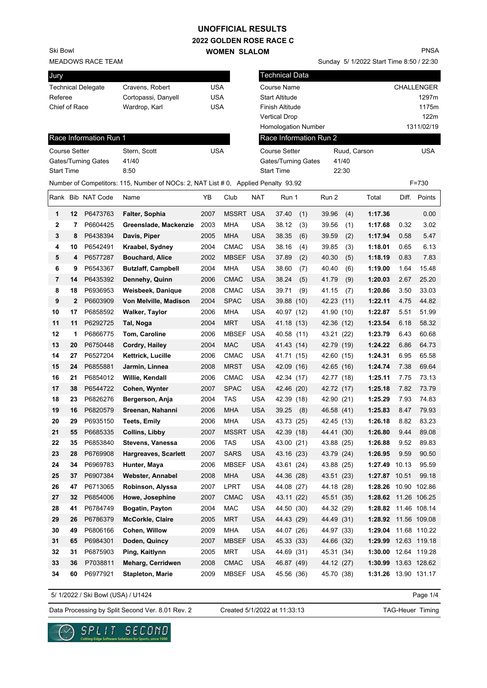# **UNOFFICIAL RESULTS**

**2022 GOLDEN ROSE RACE C WOMEN SLALOM** 

MEADOWS RACE TEAM Ski Bowl

| Jury                      |              |                        |                                                                                    |            |                  | <b>Technical Data</b> |                            |            |              |                      |      |              |
|---------------------------|--------------|------------------------|------------------------------------------------------------------------------------|------------|------------------|-----------------------|----------------------------|------------|--------------|----------------------|------|--------------|
| <b>Technical Delegate</b> |              |                        | Cravens, Robert                                                                    | <b>USA</b> |                  |                       | <b>Course Name</b>         |            |              |                      |      | CHALLENGER   |
|                           | Referee      |                        | Cortopassi, Danyell                                                                | <b>USA</b> |                  |                       | <b>Start Altitude</b>      |            |              |                      |      | 1297m        |
| Chief of Race             |              |                        | Wardrop, Karl                                                                      | <b>USA</b> |                  |                       | <b>Finish Altitude</b>     |            |              |                      |      | 1175m        |
|                           |              |                        |                                                                                    |            |                  |                       | <b>Vertical Drop</b>       |            |              |                      |      | 122m         |
|                           |              |                        |                                                                                    |            |                  |                       | <b>Homologation Number</b> |            |              |                      |      | 1311/02/19   |
|                           |              | Race Information Run 1 |                                                                                    |            |                  |                       | Race Information Run 2     |            |              |                      |      |              |
| <b>Course Setter</b>      |              |                        | Stern, Scott                                                                       | <b>USA</b> |                  |                       | <b>Course Setter</b>       |            | Ruud, Carson |                      |      | <b>USA</b>   |
|                           |              | Gates/Turning Gates    | 41/40                                                                              |            |                  |                       | Gates/Turning Gates        |            | 41/40        |                      |      |              |
| <b>Start Time</b>         |              |                        | 8:50                                                                               |            |                  |                       | <b>Start Time</b>          |            | 22:30        |                      |      |              |
|                           |              |                        | Number of Competitors: 115, Number of NOCs: 2, NAT List # 0, Applied Penalty 93.92 |            |                  |                       |                            |            |              |                      |      | $F = 730$    |
|                           |              | Rank Bib NAT Code      | Name                                                                               | YB         | Club             | <b>NAT</b>            | Run 1                      | Run 2      |              | Total                |      | Diff. Points |
| 1                         | 12           | P6473763               | Falter, Sophia                                                                     | 2007       | <b>MSSRT USA</b> |                       | 37.40<br>(1)               | 39.96      | (4)          | 1:17.36              |      | 0.00         |
| $\mathbf{2}$              | 7            | P6604425               | Greenslade, Mackenzie                                                              | 2003       | <b>MHA</b>       | <b>USA</b>            | 38.12<br>(3)               | 39.56      | (1)          | 1:17.68              | 0.32 | 3.02         |
| 3                         | 8            | P6438394               | Davis, Piper                                                                       | 2005       | <b>MHA</b>       | <b>USA</b>            | 38.35<br>(6)               | 39.59      | (2)          | 1:17.94              | 0.58 | 5.47         |
| 4                         | 10           | P6542491               | Kraabel, Sydney                                                                    | 2004       | <b>CMAC</b>      | <b>USA</b>            | 38.16<br>(4)               | 39.85      | (3)          | 1:18.01              | 0.65 | 6.13         |
| 5                         | 4            | P6577287               | <b>Bouchard, Alice</b>                                                             | 2002       | MBSEF USA        |                       | (2)<br>37.89               | 40.30      | (5)          | 1:18.19              | 0.83 | 7.83         |
| 6                         | 9            | P6543367               | <b>Butzlaff, Campbell</b>                                                          | 2004       | <b>MHA</b>       | <b>USA</b>            | 38.60<br>(7)               | 40.40      | (6)          | 1:19.00              | 1.64 | 15.48        |
| 7                         | 14           | P6435392               | Dennehy, Quinn                                                                     | 2006       | <b>CMAC</b>      | <b>USA</b>            | 38.24<br>(5)               | 41.79      | (9)          | 1:20.03              | 2.67 | 25.20        |
| 8                         | 18           | P6936953               | Weisbeek, Danique                                                                  | 2008       | <b>CMAC</b>      | <b>USA</b>            | 39.71<br>(9)               | 41.15      | (7)          | 1:20.86              | 3.50 | 33.03        |
| 9                         | $\mathbf{2}$ | P6603909               | Von Melville, Madison                                                              | 2004       | <b>SPAC</b>      | <b>USA</b>            | 39.88 (10)                 | 42.23 (11) |              | 1:22.11              | 4.75 | 44.82        |
| 10                        | 17           | P6858592               | Walker, Taylor                                                                     | 2006       | <b>MHA</b>       | <b>USA</b>            | 40.97 (12)                 | 41.90 (10) |              | 1:22.87              | 5.51 | 51.99        |
| 11                        | 11           | P6292725               | Tal, Noga                                                                          | 2004       | <b>MRT</b>       | <b>USA</b>            | 41.18 (13)                 | 42.36 (12) |              | 1:23.54              | 6.18 | 58.32        |
| 12                        | 1            | P6866775               | Tom, Caroline                                                                      | 2006       | <b>MBSEF</b>     | <b>USA</b>            | 40.58 (11)                 | 43.21 (22) |              | 1:23.79              | 6.43 | 60.68        |
| 13                        | 20           | P6750448               | Cordry, Hailey                                                                     | 2004       | <b>MAC</b>       | <b>USA</b>            | 41.43 (14)                 | 42.79 (19) |              | 1:24.22              | 6.86 | 64.73        |
| 14                        | 27           | P6527204               | Kettrick, Lucille                                                                  | 2006       | <b>CMAC</b>      | <b>USA</b>            | 41.71 (15)                 | 42.60 (15) |              | 1:24.31              | 6.95 | 65.58        |
| 15                        | 24           | P6855881               | Jarmin, Linnea                                                                     | 2008       | <b>MRST</b>      | <b>USA</b>            | 42.09 (16)                 | 42.65 (16) |              | 1:24.74              | 7.38 | 69.64        |
| 16                        | 21           | P6854012               | Willie, Kendall                                                                    | 2006       | <b>CMAC</b>      | <b>USA</b>            | 42.34 (17)                 | 42.77 (18) |              | 1:25.11              | 7.75 | 73.13        |
| 17                        | 38           | P6544722               | Cohen, Wynter                                                                      | 2007       | <b>SPAC</b>      | <b>USA</b>            | 42.46 (20)                 | 42.72 (17) |              | 1:25.18              | 7.82 | 73.79        |
| 18                        | 23           | P6826276               | Bergerson, Anja                                                                    | 2004       | <b>TAS</b>       | <b>USA</b>            | 42.39 (18)                 | 42.90 (21) |              | 1:25.29              | 7.93 | 74.83        |
| 19                        | 16           | P6820579               | Sreenan, Nahanni                                                                   | 2006       | <b>MHA</b>       | <b>USA</b>            | 39.25<br>(8)               | 46.58 (41) |              | 1:25.83              | 8.47 | 79.93        |
| 20                        | 29           | P6935150               | <b>Teets, Emily</b>                                                                | 2006       | <b>MHA</b>       | <b>USA</b>            | 43.73 (25)                 | 42.45 (13) |              | 1:26.18              | 8.82 | 83.23        |
| 21                        | 55           | P6685335               | <b>Collins, Libby</b>                                                              | 2007       | <b>MSSRT USA</b> |                       | 42.39 (18)                 | 44.41 (30) |              | 1:26.80              | 9.44 | 89.08        |
| 22                        | 35           | P6853840               | Stevens, Vanessa                                                                   | 2006       | <b>TAS</b>       | <b>USA</b>            | 43.00 (21)                 | 43.88 (25) |              | 1:26.88              | 9.52 | 89.83        |
| 23                        | 28           | P6769908               | <b>Hargreaves, Scarlett</b>                                                        | 2007       | <b>SARS</b>      | <b>USA</b>            | 43.16 (23)                 | 43.79 (24) |              | 1:26.95              | 9.59 | 90.50        |
| 24                        | 34           | P6969783               | Hunter, Maya                                                                       | 2006       | <b>MBSEF</b>     | USA                   | 43.61 (24)                 | 43.88 (25) |              | 1:27.49 10.13        |      | 95.59        |
| 25                        | 37           | P6907384               | Webster, Annabel                                                                   | 2008       | <b>MHA</b>       | <b>USA</b>            | 44.36 (28)                 | 43.51 (23) |              | 1:27.87 10.51        |      | 99.18        |
| 26                        | 47           | P6713065               | Robinson, Alyssa                                                                   | 2007       | LPRT             | USA                   | 44.08 (27)                 | 44.18 (28) |              | 1:28.26 10.90 102.86 |      |              |
| 27                        | 32           | P6854006               | Howe, Josephine                                                                    | 2007       | <b>CMAC</b>      | <b>USA</b>            | 43.11 (22)                 | 45.51 (35) |              | 1:28.62 11.26 106.25 |      |              |
| 28                        | 41           | P6784749               | Bogatin, Payton                                                                    | 2004       | MAC              | USA                   | 44.50 (30)                 | 44.32 (29) |              | 1:28.82 11.46 108.14 |      |              |
| 29                        | 26           | P6786379               | <b>McCorkle, Claire</b>                                                            | 2005       | <b>MRT</b>       | <b>USA</b>            | 44.43 (29)                 | 44.49 (31) |              | 1:28.92 11.56 109.08 |      |              |
| 30                        | 49           | P6806166               | Cohen, Willow                                                                      | 2009       | <b>MHA</b>       | <b>USA</b>            | 44.07 (26)                 | 44.97 (33) |              | 1:29.04 11.68 110.22 |      |              |
| 31                        | 65           | P6984301               | Doden, Quincy                                                                      | 2007       | <b>MBSEF</b>     | <b>USA</b>            | 45.33 (33)                 | 44.66 (32) |              | 1:29.99 12.63 119.18 |      |              |
| 32                        | 31           | P6875903               | Ping, Kaitlynn                                                                     | 2005       | MRT              | USA                   | 44.69 (31)                 | 45.31 (34) |              | 1:30.00 12.64 119.28 |      |              |
| 33                        | 36           | P7038811               | Meharg, Cerridwen                                                                  | 2008       | <b>CMAC</b>      | <b>USA</b>            | 46.87 (49)                 | 44.12 (27) |              | 1:30.99 13.63 128.62 |      |              |
| 34                        | 60           | P6977921               | <b>Stapleton, Marie</b>                                                            | 2009       | MBSEF USA        |                       | 45.56 (36)                 | 45.70 (38) |              | 1:31.26 13.90 131.17 |      |              |

5/ 1/2022 / Ski Bowl (USA) / U1424

Page 1/4

Data Processing by Split Second Ver. 8.01 Rev. 2 Created 5/1/2022 at 11:33:13 TAG-Heuer Timing

Created 5/1/2022 at 11:33:13



SPLIT SECOND . Solutions for Sports, since 1990

PNSA

Sunday 5/ 1/2022 Start Time 8:50 / 22:30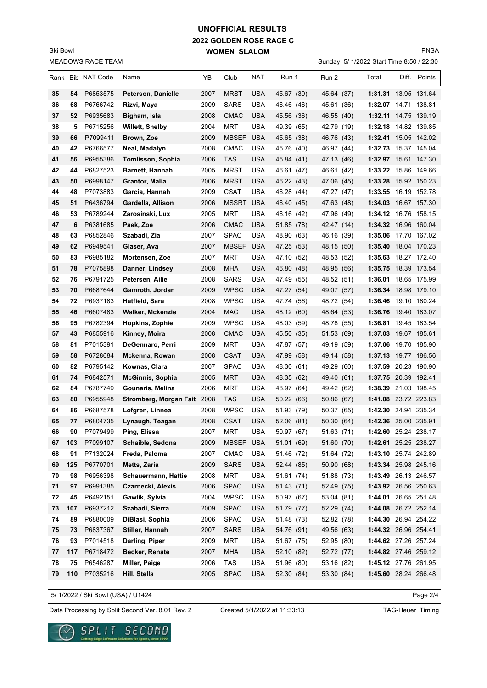### **2022 GOLDEN ROSE RACE C WOMEN SLALOM UNOFFICIAL RESULTS**

MEADOWS RACE TEAM Ski Bowl

Sunday 5/ 1/2022 Start Time 8:50 / 22:30 PNSA

|          |          | Rank Bib NAT Code    | Name                                        | YB           | Club                       | NAT                      | Run 1                    | Run 2                    | Total                                        | Diff. | Points       |
|----------|----------|----------------------|---------------------------------------------|--------------|----------------------------|--------------------------|--------------------------|--------------------------|----------------------------------------------|-------|--------------|
|          |          |                      |                                             |              |                            |                          |                          |                          |                                              |       |              |
| 35       | 54       | P6853575             | Peterson, Danielle                          | 2007         | <b>MRST</b>                | <b>USA</b>               | 45.67 (39)               | 45.64 (37)               | 1:31.31 13.95 131.64                         |       |              |
| 36       | 68       | P6766742             | Rizvi, Maya                                 | 2009         | <b>SARS</b>                | USA                      | 46.46 (46)               | 45.61 (36)               | 1:32.07 14.71 138.81                         |       |              |
| 37<br>38 | 52       | P6935683             | Bigham, Isla                                | 2008         | <b>CMAC</b><br><b>MRT</b>  | <b>USA</b>               | 45.56 (36)               | 46.55 (40)               | 1:32.11 14.75 139.19                         |       |              |
| 39       | 5<br>66  | P6715256             | Willett, Shelby                             | 2004         | <b>MBSEF</b>               | USA                      | 49.39 (65)<br>45.65 (38) | 42.79 (19)               | 1:32.18 14.82 139.85                         |       |              |
| 40       | 42       | P7099411<br>P6766577 | Brown, Zoe<br>Neal, Madalyn                 | 2009<br>2008 | <b>CMAC</b>                | <b>USA</b><br>USA        | 45.76 (40)               | 46.76 (43)<br>46.97 (44) | 1:32.41 15.05 142.02<br>1:32.73 15.37 145.04 |       |              |
| 41       | 56       | P6955386             |                                             | 2006         | <b>TAS</b>                 | <b>USA</b>               |                          | 47.13 (46)               | 1:32.97 15.61 147.30                         |       |              |
| 42       | 44       | P6827523             | Tomlisson, Sophia<br><b>Barnett, Hannah</b> | 2005         | <b>MRST</b>                | <b>USA</b>               | 45.84 (41)<br>46.61 (47) |                          | 1:33.22 15.86 149.66                         |       |              |
| 43       | 50       | P6998147             | Grantor, Malia                              | 2006         | <b>MRST</b>                | <b>USA</b>               | 46.22 (43)               | 46.61 (42)<br>47.06 (45) | 1:33.28                                      |       | 15.92 150.23 |
| 44       | 48       | P7073883             | Garcia, Hannah                              | 2009         | <b>CSAT</b>                | <b>USA</b>               | 46.28 (44)               | 47.27 (47)               | 1:33.55 16.19 152.78                         |       |              |
| 45       | 51       | P6436794             | Gardella, Allison                           | 2006         | MSSRT USA                  |                          | 46.40 (45)               | 47.63 (48)               | 1:34.03 16.67 157.30                         |       |              |
| 46       | 53       | P6789244             | Zarosinski, Lux                             | 2005         | MRT                        | <b>USA</b>               | 46.16 (42)               | 47.96 (49)               | 1:34.12 16.76 158.15                         |       |              |
| 47       | 6        | P6381685             | Paek, Zoe                                   | 2006         | <b>CMAC</b>                | <b>USA</b>               | 51.85 (78)               | 42.47 (14)               | 1:34.32 16.96 160.04                         |       |              |
| 48       | 63       | P6852846             | Szabadi, Zia                                | 2007         | <b>SPAC</b>                | USA                      | 48.90 (63)               | 46.16 (39)               | 1:35.06                                      |       | 17.70 167.02 |
| 49       | 62       | P6949541             | Glaser, Ava                                 | 2007         | <b>MBSEF</b>               | <b>USA</b>               | 47.25 (53)               | 48.15 (50)               | 1:35.40                                      |       | 18.04 170.23 |
| 50       | 83       | P6985182             | Mortensen, Zoe                              | 2007         | MRT                        | <b>USA</b>               | 47.10 (52)               | 48.53 (52)               | 1:35.63 18.27 172.40                         |       |              |
| 51       | 78       | P7075898             | Danner, Lindsey                             | 2008         | <b>MHA</b>                 | <b>USA</b>               | 46.80 (48)               | 48.95 (56)               | 1:35.75 18.39 173.54                         |       |              |
| 52       | 76       | P6791725             | Petersen, Ailie                             | 2008         | <b>SARS</b>                | USA                      | 47.49 (55)               | 48.52 (51)               | 1:36.01 18.65 175.99                         |       |              |
| 53       | 70       | P6687644             | Gamroth, Jordan                             | 2009         | <b>WPSC</b>                | <b>USA</b>               | 47.27 (54)               | 49.07 (57)               | 1:36.34 18.98 179.10                         |       |              |
| 54       | 72       | P6937183             | Hatfield, Sara                              | 2008         | <b>WPSC</b>                | <b>USA</b>               | 47.74 (56)               | 48.72 (54)               | 1:36.46                                      |       | 19.10 180.24 |
| 55       | 46       | P6607483             | <b>Walker, Mckenzie</b>                     | 2004         | <b>MAC</b>                 | USA                      | 48.12 (60)               | 48.64 (53)               | 1:36.76 19.40 183.07                         |       |              |
| 56       | 95       | P6782394             | Hopkins, Zophie                             | 2009         | <b>WPSC</b>                | USA                      | 48.03 (59)               | 48.78 (55)               | 1:36.81 19.45 183.54                         |       |              |
| 57       | 43       | P6855916             | Kinney, Moira                               | 2008         | <b>CMAC</b>                | USA                      | 45.50 (35)               | 51.53 (69)               | 1:37.03                                      |       | 19.67 185.61 |
| 58       | 81       | P7015391             | DeGennaro, Perri                            | 2009         | <b>MRT</b>                 | USA                      | 47.87 (57)               | 49.19 (59)               | 1:37.06 19.70 185.90                         |       |              |
| 59       | 58       | P6728684             | Mckenna, Rowan                              | 2008         | <b>CSAT</b>                | <b>USA</b>               | 47.99 (58)               | 49.14 (58)               | 1:37.13 19.77 186.56                         |       |              |
| 60       | 82       | P6795142             | Kownas, Clara                               | 2007         | <b>SPAC</b>                | USA                      | 48.30 (61)               | 49.29 (60)               | 1:37.59 20.23 190.90                         |       |              |
| 61       | 74       | P6842571             | <b>McGinnis, Sophia</b>                     | 2005         | <b>MRT</b>                 | USA                      | 48.35 (62)               | 49.40 (61)               | 1:37.75 20.39 192.41                         |       |              |
| 62       | 84       | P6787749             | Gounaris, Melina                            | 2006         | MRT                        | <b>USA</b>               | 48.97 (64)               | 49.42 (62)               | 1:38.39 21.03 198.45                         |       |              |
| 63       | 80       | P6955948             | Stromberg, Morgan Fait 2008                 |              | <b>TAS</b>                 | USA                      | 50.22 (66)               | 50.86 (67)               | 1:41.08 23.72 223.83                         |       |              |
| 64       | 86       | P6687578             | Lofgren, Linnea                             | 2008         | <b>WPSC</b>                | <b>USA</b>               | 51.93 (79)               | 50.37 (65)               | 1:42.30 24.94 235.34                         |       |              |
| 65       | 77       | P6804735             | Lynaugh, Teagan                             | 2008         | <b>CSAT</b>                | USA                      | 52.06 (81)               | 50.30 (64)               | 1:42.36 25.00 235.91                         |       |              |
| 66       | 90       | P7079499             | Ping, Elissa                                | 2007         | MRT                        | <b>USA</b>               | 50.97 (67)               | 51.63 (71)               | 1:42.60 25.24 238.17                         |       |              |
| 67       | 103      | P7099107             | Schaible, Sedona                            | 2009         | MBSEF USA                  |                          | 51.01 (69)               | 51.60 (70)               | 1:42.61 25.25 238.27                         |       |              |
| 68       | 91       | P7132024             | Freda, Paloma                               | 2007         | <b>CMAC</b>                | <b>USA</b>               | 51.46 (72)               | 51.64 (72)               | 1:43.10 25.74 242.89                         |       |              |
| 69       | 125      | P6770701             | Metts, Zaria                                | 2009         | <b>SARS</b>                | <b>USA</b>               | 52.44 (85)               | 50.90 (68)               | 1:43.34 25.98 245.16                         |       |              |
| 70       | 98       | P6956398             | Schauermann, Hattie                         | 2008         | MRT                        | <b>USA</b>               | 51.61 (74)               | 51.88 (73)               | 1:43.49 26.13 246.57                         |       |              |
| 71       | 97       | P6991385             | Czarnecki, Alexis                           | 2006         | <b>SPAC</b>                | <b>USA</b>               | 51.43 (71)               | 52.49 (75)               | 1:43.92 26.56 250.63                         |       |              |
| 72       | 45       | P6492151             | Gawlik, Sylvia                              | 2004         | <b>WPSC</b>                | <b>USA</b>               | 50.97 (67)               | 53.04 (81)               | 1:44.01 26.65 251.48                         |       |              |
| 73       | 107      | P6937212             | Szabadi, Sierra                             | 2009         | <b>SPAC</b>                | <b>USA</b>               | 51.79 (77)               | 52.29 (74)               | 1:44.08 26.72 252.14                         |       |              |
| 74<br>75 | 89       | P6880009<br>P6837367 | DiBlasi, Sophia<br>Stiller, Hannah          | 2006<br>2007 | <b>SPAC</b><br><b>SARS</b> | <b>USA</b><br><b>USA</b> | 51.48 (73)<br>54.76 (91) | 52.82 (78)<br>49.56 (63) | 1:44.30 26.94 254.22<br>1:44.32 26.96 254.41 |       |              |
| 76       | 73<br>93 | P7014518             | Darling, Piper                              | 2009         | MRT                        | <b>USA</b>               | 51.67 (75)               | 52.95 (80)               | 1:44.62 27.26 257.24                         |       |              |
| 77       | 117      | P6718472             | Becker, Renate                              | 2007         | <b>MHA</b>                 | <b>USA</b>               | 52.10 (82)               | 52.72 (77)               | 1:44.82 27.46 259.12                         |       |              |
| 78       | 75       | P6546287             | Miller, Paige                               | 2006         | TAS                        | <b>USA</b>               | 51.96 (80)               | 53.16 (82)               | 1:45.12 27.76 261.95                         |       |              |
| 79       | 110      | P7035216             | Hill, Stella                                | 2005         | <b>SPAC</b>                | <b>USA</b>               | 52.30 (84)               | 53.30 (84)               | 1:45.60 28.24 266.48                         |       |              |
|          |          |                      |                                             |              |                            |                          |                          |                          |                                              |       |              |

5/ 1/2022 / Ski Bowl (USA) / U1424

 $\checkmark$ 

Page 2/4

Data Processing by Split Second Ver. 8.01 Rev. 2 Created 5/1/2022 at 11:33:13 TAG-Heuer Timing

SPLIT SECOND

re Solutions for Sports, since 1990

Created 5/1/2022 at 11:33:13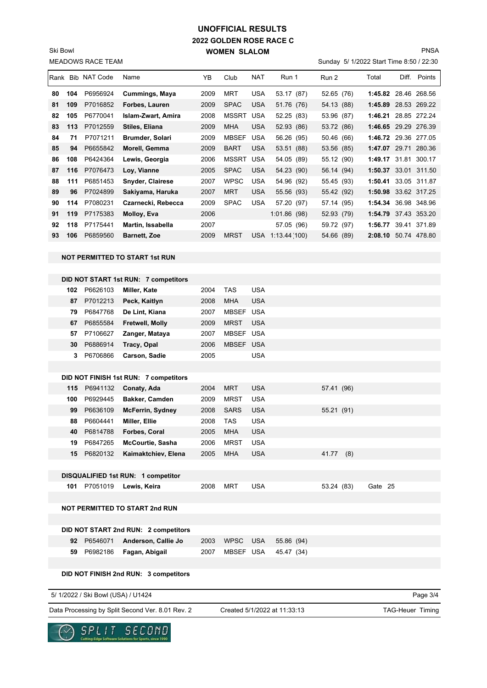### **2022 GOLDEN ROSE RACE C WOMEN SLALOM UNOFFICIAL RESULTS**

MEADOWS RACE TEAM Ski Bowl

#### PNSA

Sunday 5/ 1/2022 Start Time 8:50 / 22:30

| <b>IVILADUWO NAUL TEAIVI</b> |     |                   |                                       |      |                  |            |                   |  |            |  |                      |              |
|------------------------------|-----|-------------------|---------------------------------------|------|------------------|------------|-------------------|--|------------|--|----------------------|--------------|
|                              |     | Rank Bib NAT Code | Name                                  | YΒ   | Club             | <b>NAT</b> | Run 1             |  | Run 2      |  | Total                | Diff. Points |
| 80                           | 104 | P6956924          | Cummings, Maya                        | 2009 | MRT              | <b>USA</b> | 53.17 (87)        |  | 52.65 (76) |  | 1:45.82 28.46 268.56 |              |
| 81                           | 109 | P7016852          | Forbes, Lauren                        | 2009 | <b>SPAC</b>      | <b>USA</b> | 51.76 (76)        |  | 54.13 (88) |  | 1:45.89 28.53 269.22 |              |
| 82                           | 105 | P6770041          | Islam-Zwart, Amira                    | 2008 | MSSRT USA        |            | 52.25 (83)        |  | 53.96 (87) |  | 1:46.21 28.85 272.24 |              |
| 83                           | 113 | P7012559          | Stiles, Eliana                        | 2009 | <b>MHA</b>       | <b>USA</b> | 52.93 (86)        |  | 53.72 (86) |  | 1:46.65 29.29 276.39 |              |
| 84                           | 71  | P7071211          | Brumder, Solari                       | 2009 | <b>MBSEF</b>     | <b>USA</b> | 56.26 (95)        |  | 50.46 (66) |  | 1:46.72 29.36 277.05 |              |
| 85                           | 94  | P6655842          | Morell, Gemma                         | 2009 | <b>BART</b>      | <b>USA</b> | 53.51 (88)        |  | 53.56 (85) |  | 1:47.07 29.71 280.36 |              |
| 86                           | 108 | P6424364          | Lewis, Georgia                        | 2006 | <b>MSSRT USA</b> |            | 54.05 (89)        |  | 55.12 (90) |  | 1:49.17 31.81 300.17 |              |
| 87                           | 116 | P7076473          | Loy, Vianne                           | 2005 | <b>SPAC</b>      | <b>USA</b> | 54.23 (90)        |  | 56.14 (94) |  | 1:50.37 33.01 311.50 |              |
| 88                           | 111 | P6851453          | <b>Snyder, Clairese</b>               | 2007 | <b>WPSC</b>      | <b>USA</b> | 54.96 (92)        |  | 55.45 (93) |  | 1:50.41 33.05 311.87 |              |
| 89                           | 96  | P7024899          | Sakiyama, Haruka                      | 2007 | <b>MRT</b>       | <b>USA</b> | 55.56 (93)        |  | 55.42 (92) |  | 1:50.98 33.62 317.25 |              |
| 90                           | 114 | P7080231          | Czarnecki, Rebecca                    | 2009 | <b>SPAC</b>      | <b>USA</b> | 57.20 (97)        |  | 57.14 (95) |  | 1:54.34 36.98 348.96 |              |
| 91                           | 119 | P7175383          | Molloy, Eva                           | 2006 |                  |            | 1:01.86(98)       |  | 52.93 (79) |  | 1:54.79 37.43 353.20 |              |
| 92                           | 118 | P7175441          | Martin, Issabella                     | 2007 |                  |            | 57.05 (96)        |  | 59.72 (97) |  | 1:56.77 39.41 371.89 |              |
| 93                           | 106 | P6859560          | <b>Barnett, Zoe</b>                   | 2009 | <b>MRST</b>      |            | USA 1:13.44 (100) |  | 54.66 (89) |  | 2:08.10 50.74 478.80 |              |
|                              |     |                   |                                       |      |                  |            |                   |  |            |  |                      |              |
|                              |     |                   | <b>NOT PERMITTED TO START 1st RUN</b> |      |                  |            |                   |  |            |  |                      |              |
|                              |     |                   |                                       |      |                  |            |                   |  |            |  |                      |              |
|                              |     |                   | DID NOT START 1st RUN: 7 competitors  |      |                  |            |                   |  |            |  |                      |              |
|                              | 102 | P6626103          | Miller, Kate                          | 2004 | TAS              | <b>USA</b> |                   |  |            |  |                      |              |
|                              | 87  | P7012213          | Peck, Kaitlyn                         | 2008 | <b>MHA</b>       | <b>USA</b> |                   |  |            |  |                      |              |
|                              | 79  | P6847768          | De Lint, Kiana                        | 2007 | MBSEF USA        |            |                   |  |            |  |                      |              |
|                              | 67  | P6855584          | Fretwell, Molly                       | 2009 | <b>MRST</b>      | <b>USA</b> |                   |  |            |  |                      |              |
|                              | 57  | P7106627          | Zanger, Mataya                        | 2007 | MBSEF USA        |            |                   |  |            |  |                      |              |
|                              | 30  | P6886914          | Tracy, Opal                           | 2006 | <b>MBSEF</b>     | <b>USA</b> |                   |  |            |  |                      |              |
|                              | 3   | P6706866          | Carson, Sadie                         | 2005 |                  | <b>USA</b> |                   |  |            |  |                      |              |
|                              |     |                   |                                       |      |                  |            |                   |  |            |  |                      |              |
|                              |     |                   | DID NOT FINISH 1st RUN: 7 competitors |      |                  |            |                   |  |            |  |                      |              |
|                              | 115 | P6941132          | Conaty, Ada                           | 2004 | <b>MRT</b>       | <b>USA</b> |                   |  | 57.41 (96) |  |                      |              |
|                              | 100 | P6929445          | <b>Bakker, Camden</b>                 | 2009 | MRST             | <b>USA</b> |                   |  |            |  |                      |              |
|                              | 99  | P6636109          | <b>McFerrin, Sydney</b>               | 2008 | <b>SARS</b>      | <b>USA</b> |                   |  | 55.21 (91) |  |                      |              |
|                              | 88  | P6604441          | Miller, Ellie                         | 2008 | <b>TAS</b>       | <b>USA</b> |                   |  |            |  |                      |              |
|                              | 40  | P6814788          | Forbes, Coral                         | 2005 | <b>MHA</b>       | <b>USA</b> |                   |  |            |  |                      |              |
|                              | 19  | P6847265          | McCourtie, Sasha                      | 2006 | <b>MRST</b>      | <b>USA</b> |                   |  |            |  |                      |              |
|                              |     | 15 P6820132       | Kaimaktchiev, Elena                   | 2005 | <b>MHA</b>       | <b>USA</b> |                   |  | 41.77 (8)  |  |                      |              |
|                              |     |                   |                                       |      |                  |            |                   |  |            |  |                      |              |
|                              |     |                   | DISQUALIFIED 1st RUN: 1 competitor    |      |                  | <b>USA</b> |                   |  |            |  | Gate 25              |              |
|                              |     | 101 P7051019      | Lewis, Keira                          | 2008 | MRT              |            |                   |  | 53.24 (83) |  |                      |              |
|                              |     |                   | <b>NOT PERMITTED TO START 2nd RUN</b> |      |                  |            |                   |  |            |  |                      |              |
|                              |     |                   |                                       |      |                  |            |                   |  |            |  |                      |              |
|                              |     |                   | DID NOT START 2nd RUN: 2 competitors  |      |                  |            |                   |  |            |  |                      |              |
|                              |     | 92 P6546071       | Anderson, Callie Jo                   | 2003 | <b>WPSC</b>      | <b>USA</b> | 55.86 (94)        |  |            |  |                      |              |
|                              |     | 59 P6982186       | Fagan, Abigail                        | 2007 | MBSEF USA        |            | 45.47 (34)        |  |            |  |                      |              |
|                              |     |                   |                                       |      |                  |            |                   |  |            |  |                      |              |
|                              |     |                   | DID NOT FINISH 2nd RUN: 3 competitors |      |                  |            |                   |  |            |  |                      |              |
|                              |     |                   |                                       |      |                  |            |                   |  |            |  |                      |              |
|                              |     |                   |                                       |      |                  |            |                   |  |            |  |                      |              |

5/ 1/2022 / Ski Bowl (USA) / U1424

Data Processing by Split Second Ver. 8.01 Rev. 2 Created 5/1/2022 at 11:33:13 TAG-Heuer Timing

Created 5/1/2022 at 11:33:13

Page 3/4